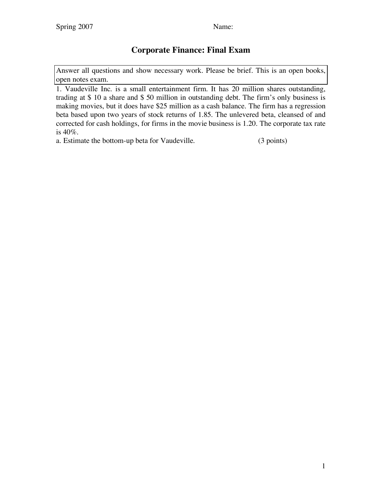## **Corporate Finance: Final Exam**

Answer all questions and show necessary work. Please be brief. This is an open books, open notes exam.

1. Vaudeville Inc. is a small entertainment firm. It has 20 million shares outstanding, trading at \$ 10 a share and \$ 50 million in outstanding debt. The firm's only business is making movies, but it does have \$25 million as a cash balance. The firm has a regression beta based upon two years of stock returns of 1.85. The unlevered beta, cleansed of and corrected for cash holdings, for firms in the movie business is 1.20. The corporate tax rate is 40%.

a. Estimate the bottom-up beta for Vaudeville. (3 points)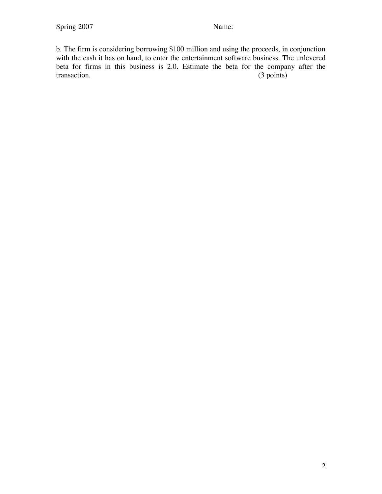b. The firm is considering borrowing \$100 million and using the proceeds, in conjunction with the cash it has on hand, to enter the entertainment software business. The unlevered beta for firms in this business is 2.0. Estimate the beta for the company after the transaction. (3 points) transaction.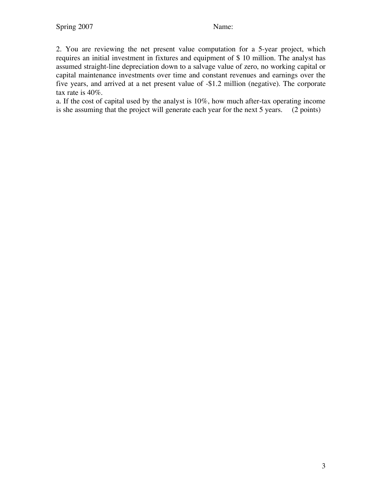2. You are reviewing the net present value computation for a 5-year project, which requires an initial investment in fixtures and equipment of \$ 10 million. The analyst has assumed straight-line depreciation down to a salvage value of zero, no working capital or capital maintenance investments over time and constant revenues and earnings over the five years, and arrived at a net present value of -\$1.2 million (negative). The corporate tax rate is 40%.

a. If the cost of capital used by the analyst is 10%, how much after-tax operating income is she assuming that the project will generate each year for the next 5 years. (2 points)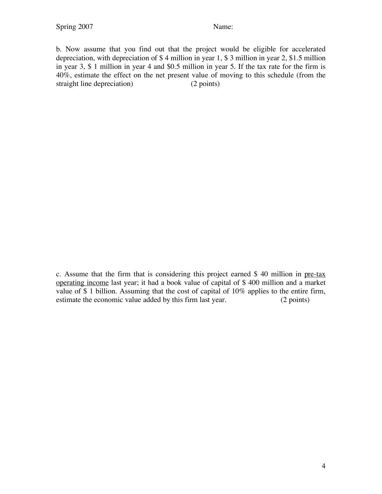b. Now assume that you find out that the project would be eligible for accelerated depreciation, with depreciation of \$ 4 million in year 1, \$ 3 million in year 2, \$1.5 million in year 3, \$ 1 million in year 4 and \$0.5 million in year 5. If the tax rate for the firm is 40%, estimate the effect on the net present value of moving to this schedule (from the straight line depreciation) (2 points)

c. Assume that the firm that is considering this project earned \$ 40 million in pre-tax operating income last year; it had a book value of capital of \$ 400 million and a market value of \$ 1 billion. Assuming that the cost of capital of 10% applies to the entire firm, estimate the economic value added by this firm last year. (2 points)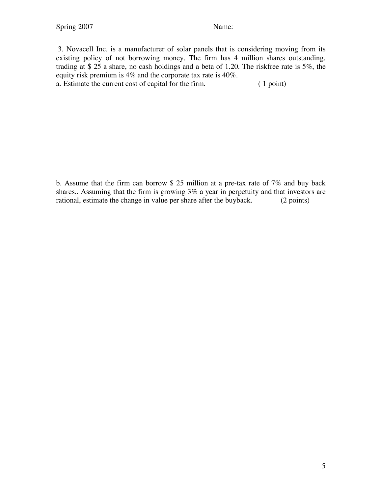3. Novacell Inc. is a manufacturer of solar panels that is considering moving from its existing policy of <u>not borrowing money</u>. The firm has 4 million shares outstanding, trading at \$ 25 a share, no cash holdings and a beta of 1.20. The riskfree rate is 5%, the equity risk premium is 4% and the corporate tax rate is 40%. a. Estimate the current cost of capital for the firm. ( 1 point)

b. Assume that the firm can borrow \$ 25 million at a pre-tax rate of 7% and buy back shares.. Assuming that the firm is growing 3% a year in perpetuity and that investors are rational, estimate the change in value per share after the buyback. (2 points)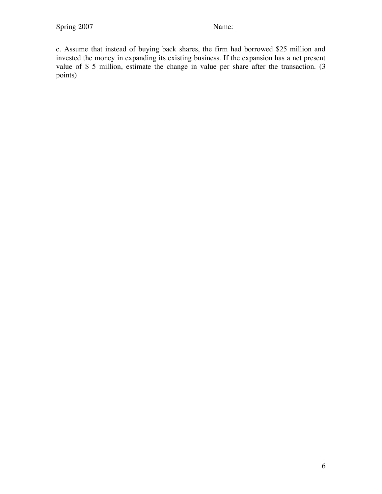c. Assume that instead of buying back shares, the firm had borrowed \$25 million and invested the money in expanding its existing business. If the expansion has a net present value of \$ 5 million, estimate the change in value per share after the transaction. (3 points)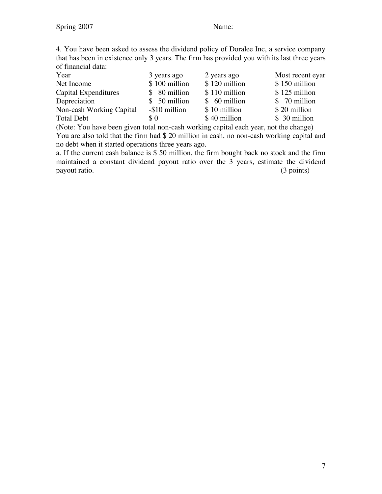4. You have been asked to assess the dividend policy of Doralee Inc, a service company that has been in existence only 3 years. The firm has provided you with its last three years of financial data:

| Year                     | 3 years ago   | 2 years ago   | Most recent eyar |
|--------------------------|---------------|---------------|------------------|
| Net Income               | \$100 million | \$120 million | $$150$ million   |
| Capital Expenditures     | $$80$ million | \$110 million | $$125$ million   |
| Depreciation             | $$50$ million | $$60$ million | $$70$ million    |
| Non-cash Working Capital | -\$10 million | \$10 million  | \$20 million     |
| <b>Total Debt</b>        | \$0           | \$40 million  | \$ 30 million    |

(Note: You have been given total non-cash working capital each year, not the change) You are also told that the firm had \$ 20 million in cash, no non-cash working capital and no debt when it started operations three years ago.

a. If the current cash balance is \$ 50 million, the firm bought back no stock and the firm maintained a constant dividend payout ratio over the 3 years, estimate the dividend payout ratio. (3 points)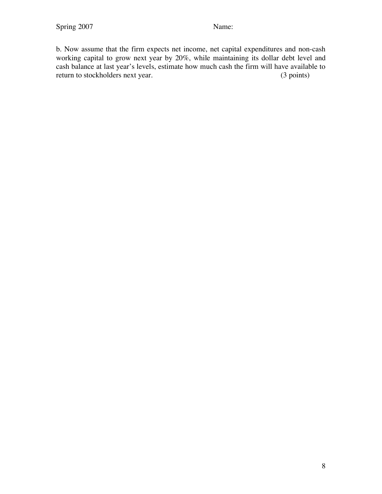b. Now assume that the firm expects net income, net capital expenditures and non-cash working capital to grow next year by 20%, while maintaining its dollar debt level and cash balance at last year's levels, estimate how much cash the firm will have available to return to stockholders next year.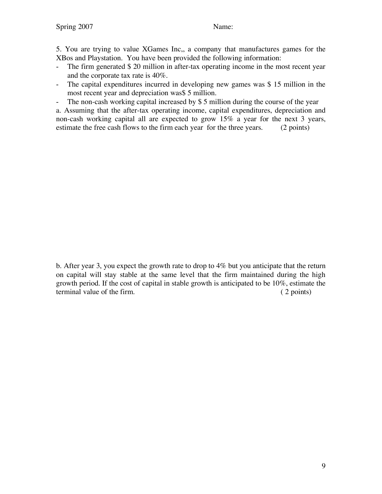5. You are trying to value XGames Inc,, a company that manufactures games for the XBos and Playstation. You have been provided the following information:

- The firm generated \$20 million in after-tax operating income in the most recent year and the corporate tax rate is 40%.
- The capital expenditures incurred in developing new games was \$ 15 million in the most recent year and depreciation was\$ 5 million.
- The non-cash working capital increased by \$ 5 million during the course of the year

a. Assuming that the after-tax operating income, capital expenditures, depreciation and non-cash working capital all are expected to grow 15% a year for the next 3 years, estimate the free cash flows to the firm each year for the three years. (2 points)

b. After year 3, you expect the growth rate to drop to 4% but you anticipate that the return on capital will stay stable at the same level that the firm maintained during the high growth period. If the cost of capital in stable growth is anticipated to be 10%, estimate the terminal value of the firm. ( 2 points)